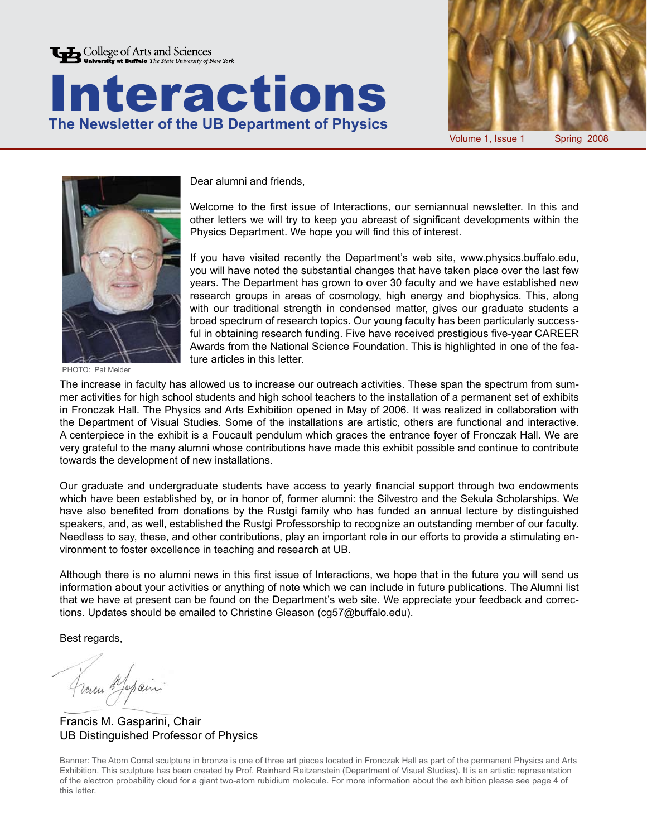





Volume 1, Issue 1 Spring 2008



PHOTO: Pat Meider

Dear alumni and friends,

Welcome to the first issue of Interactions, our semiannual newsletter. In this and other letters we will try to keep you abreast of significant developments within the Physics Department. We hope you will find this of interest.

If you have visited recently the Department's web site, www.physics.buffalo.edu, you will have noted the substantial changes that have taken place over the last few years. The Department has grown to over 30 faculty and we have established new research groups in areas of cosmology, high energy and biophysics. This, along with our traditional strength in condensed matter, gives our graduate students a broad spectrum of research topics. Our young faculty has been particularly successful in obtaining research funding. Five have received prestigious five-year CAREER Awards from the National Science Foundation. This is highlighted in one of the feature articles in this letter.

The increase in faculty has allowed us to increase our outreach activities. These span the spectrum from summer activities for high school students and high school teachers to the installation of a permanent set of exhibits in Fronczak Hall. The Physics and Arts Exhibition opened in May of 2006. It was realized in collaboration with the Department of Visual Studies. Some of the installations are artistic, others are functional and interactive. A centerpiece in the exhibit is a Foucault pendulum which graces the entrance foyer of Fronczak Hall. We are very grateful to the many alumni whose contributions have made this exhibit possible and continue to contribute towards the development of new installations.

Our graduate and undergraduate students have access to yearly financial support through two endowments which have been established by, or in honor of, former alumni: the Silvestro and the Sekula Scholarships. We have also benefited from donations by the Rustgi family who has funded an annual lecture by distinguished speakers, and, as well, established the Rustgi Professorship to recognize an outstanding member of our faculty. Needless to say, these, and other contributions, play an important role in our efforts to provide a stimulating environment to foster excellence in teaching and research at UB.

Although there is no alumni news in this first issue of Interactions, we hope that in the future you will send us information about your activities or anything of note which we can include in future publications. The Alumni list that we have at present can be found on the Department's web site. We appreciate your feedback and corrections. Updates should be emailed to Christine Gleason (cg57@buffalo.edu).

Best regards,

France Mapain

Francis M. Gasparini, Chair UB Distinguished Professor of Physics

Banner: The Atom Corral sculpture in bronze is one of three art pieces located in Fronczak Hall as part of the permanent Physics and Arts Exhibition. This sculpture has been created by Prof. Reinhard Reitzenstein (Department of Visual Studies). It is an artistic representation of the electron probability cloud for a giant two-atom rubidium molecule. For more information about the exhibition please see page 4 of this letter.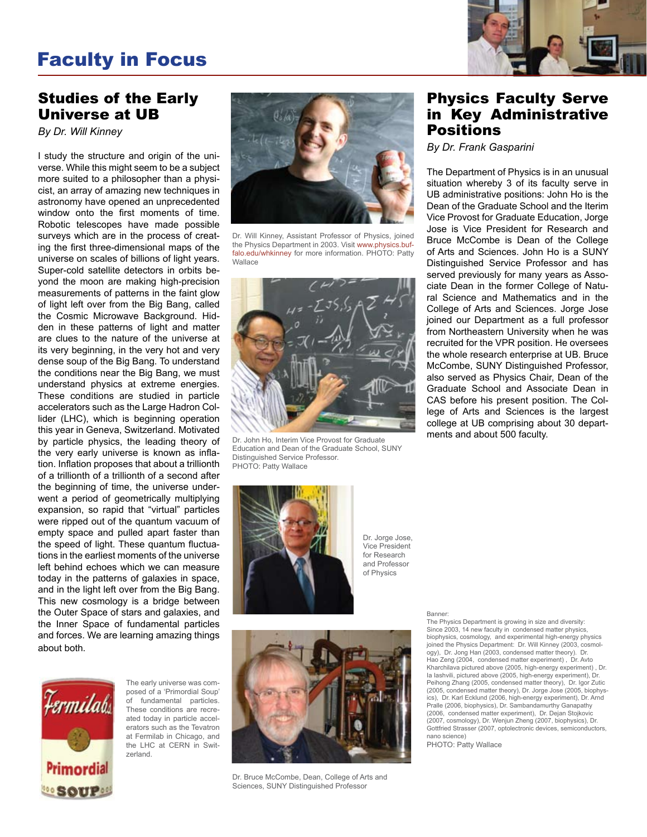# Faculty in Focus



#### Studies of the Early Universe at UB

*By Dr. Will Kinney*

I study the structure and origin of the universe. While this might seem to be a subject more suited to a philosopher than a physicist, an array of amazing new techniques in astronomy have opened an unprecedented window onto the first moments of time. Robotic telescopes have made possible surveys which are in the process of creating the first three-dimensional maps of the universe on scales of billions of light years. Super-cold satellite detectors in orbits beyond the moon are making high-precision measurements of patterns in the faint glow of light left over from the Big Bang, called the Cosmic Microwave Background. Hidden in these patterns of light and matter are clues to the nature of the universe at its very beginning, in the very hot and very dense soup of the Big Bang. To understand the conditions near the Big Bang, we must understand physics at extreme energies. These conditions are studied in particle accelerators such as the Large Hadron Collider (LHC), which is beginning operation this year in Geneva, Switzerland. Motivated by particle physics, the leading theory of the very early universe is known as inflation. Inflation proposes that about a trillionth of a trillionth of a trillionth of a second after the beginning of time, the universe underwent a period of geometrically multiplying expansion, so rapid that "virtual" particles were ripped out of the quantum vacuum of empty space and pulled apart faster than the speed of light. These quantum fluctuations in the earliest moments of the universe left behind echoes which we can measure today in the patterns of galaxies in space, and in the light left over from the Big Bang. This new cosmology is a bridge between the Outer Space of stars and galaxies, and the Inner Space of fundamental particles and forces. We are learning amazing things about both.



The early universe was composed of a 'Primordial Soup' of fundamental particles. These conditions are recreated today in particle accelerators such as the Tevatron at Fermilab in Chicago, and the LHC at CERN in Switzerland.



Dr. Will Kinney, Assistant Professor of Physics, joined the Physics Department in 2003. Visit www.physics.buffalo.edu/whkinney for more information. PHOTO: Patty Wallace



Dr. John Ho, Interim Vice Provost for Graduate Education and Dean of the Graduate School, SUNY Distinguished Service Professor. PHOTO: Patty Wallace

### Physics Faculty Serve in Key Administrative Positions

*By Dr. Frank Gasparini*

The Department of Physics is in an unusual situation whereby 3 of its faculty serve in UB administrative positions: John Ho is the Dean of the Graduate School and the Iterim Vice Provost for Graduate Education, Jorge Jose is Vice President for Research and Bruce McCombe is Dean of the College of Arts and Sciences. John Ho is a SUNY Distinguished Service Professor and has served previously for many years as Associate Dean in the former College of Natural Science and Mathematics and in the College of Arts and Sciences. Jorge Jose joined our Department as a full professor from Northeastern University when he was recruited for the VPR position. He oversees the whole research enterprise at UB. Bruce McCombe, SUNY Distinguished Professor, also served as Physics Chair, Dean of the Graduate School and Associate Dean in CAS before his present position. The College of Arts and Sciences is the largest college at UB comprising about 30 departments and about 500 faculty.



Dr. Jorge Jose, Vice President for Research and Professor of Physics



Dr. Bruce McCombe, Dean, College of Arts and Sciences, SUNY Distinguished Professor

Banner:

The Physics Department is growing in size and diversity: Since 2003, 14 new faculty in condensed matter physics, biophysics, cosmology, and experimental high-energy physics joined the Physics Department: Dr. Will Kinney (2003, cosmology), Dr. Jong Han (2003, condensed matter theory). Hao Zeng (2004, condensed matter experiment) , Dr. Avto Kharchilava pictured above (2005, high-energy experiment) , Dr. Ia Iashvili, pictured above (2005, high-energy experiment), Dr. Peihong Zhang (2005, condensed matter theory), Dr. Igor Zutic (2005, condensed matter theory), Dr. Jorge Jose (2005, biophysics), Dr. Karl Ecklund (2006, high-energy experiment), Dr. Arnd Pralle (2006, biophysics), Dr. Sambandamurthy Ganapathy (2006, condensed matter experiment), Dr. Dejan Stojkovic (2007, cosmology), Dr. Wenjun Zheng (2007, biophysics), Dr. Gottfried Strasser (2007, optolectronic devices, semiconductors, nano science)

PHOTO: Patty Wallace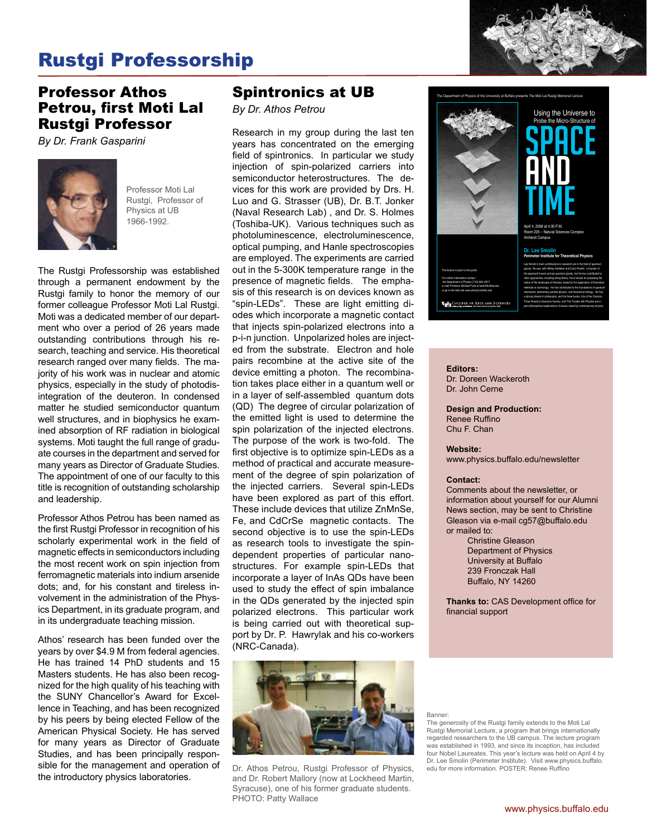# Rustgi Professorship

### Professor Athos Petrou, first Moti Lal Rustgi Professor

*By Dr. Frank Gasparini*



Professor Moti Lal Rustgi, Professor of Physics at UB 1966-1992.

The Rustgi Professorship was established through a permanent endowment by the Rustgi family to honor the memory of our former colleague Professor Moti Lal Rustgi. Moti was a dedicated member of our department who over a period of 26 years made outstanding contributions through his research, teaching and service. His theoretical research ranged over many fields. The majority of his work was in nuclear and atomic physics, especially in the study of photodisintegration of the deuteron. In condensed matter he studied semiconductor quantum well structures, and in biophysics he examined absorption of RF radiation in biological systems. Moti taught the full range of graduate courses in the department and served for many years as Director of Graduate Studies. The appointment of one of our faculty to this title is recognition of outstanding scholarship and leadership.

Professor Athos Petrou has been named as the first Rustgi Professor in recognition of his scholarly experimental work in the field of magnetic effects in semiconductors including the most recent work on spin injection from ferromagnetic materials into indium arsenide dots; and, for his constant and tireless involvement in the administration of the Physics Department, in its graduate program, and in its undergraduate teaching mission.

Athos' research has been funded over the years by over \$4.9 M from federal agencies. He has trained 14 PhD students and 15 Masters students. He has also been recognized for the high quality of his teaching with the SUNY Chancellor's Award for Excellence in Teaching, and has been recognized by his peers by being elected Fellow of the American Physical Society. He has served for many years as Director of Graduate Studies, and has been principally responsible for the management and operation of the introductory physics laboratories.

### Spintronics at UB

*By Dr. Athos Petrou*

Research in my group during the last ten years has concentrated on the emerging field of spintronics. In particular we study injection of spin-polarized carriers into semiconductor heterostructures. The devices for this work are provided by Drs. H. Luo and G. Strasser (UB), Dr. B.T. Jonker (Naval Research Lab) , and Dr. S. Holmes (Toshiba-UK). Various techniques such as photoluminescence, electroluminescence, optical pumping, and Hanle spectroscopies are employed. The experiments are carried out in the 5-300K temperature range in the presence of magnetic fields. The emphasis of this research is on devices known as "spin-LEDs". These are light emitting diodes which incorporate a magnetic contact that injects spin-polarized electrons into a p-i-n junction. Unpolarized holes are injected from the substrate. Electron and hole pairs recombine at the active site of the device emitting a photon. The recombination takes place either in a quantum well or in a layer of self-assembled quantum dots (QD) The degree of circular polarization of the emitted light is used to determine the spin polarization of the injected electrons. The purpose of the work is two-fold. The first objective is to optimize spin-LEDs as a method of practical and accurate measurement of the degree of spin polarization of the injected carriers. Several spin-LEDs have been explored as part of this effort. These include devices that utilize ZnMnSe, Fe, and CdCrSe magnetic contacts. The second objective is to use the spin-LEDs as research tools to investigate the spindependent properties of particular nanostructures. For example spin-LEDs that incorporate a layer of InAs QDs have been used to study the effect of spin imbalance in the QDs generated by the injected spin polarized electrons. This particular work is being carried out with theoretical support by Dr. P. Hawrylak and his co-workers (NRC-Canada).



Dr. Athos Petrou, Rustgi Professor of Physics, and Dr. Robert Mallory (now at Lockheed Martin, Syracuse), one of his former graduate students. PHOTO: Patty Wallace



#### **Editors:**

Dr. Doreen Wackeroth Dr. John Cerne

**Design and Production:** Renee Ruffino Chu F. Chan

#### **Website:**

www.physics.buffalo.edu/newsletter

#### **Contact:**

Comments about the newsletter, or information about yourself for our Alumni News section, may be sent to Christine Gleason via e-mail cg57@buffalo.edu or mailed to:

> Christine Gleason Department of Physics University at Buffalo 239 Fronczak Hall Buffalo, NY 14260

**Thanks to:** CAS Development office for financial support

Banner:

The generosity of the Rustgi family extends to the Moti Lal Rustgi Memorial Lecture, a program that brings internationally regarded researchers to the UB campus. The lecture program was established in 1993, and since its inception, has included four Nobel Laureates. This year's lecture was held on April 4 by Dr. Lee Smolin (Perimeter Institute). Visit www.physics.buffalo. edu for more information. POSTER: Renee Ruffino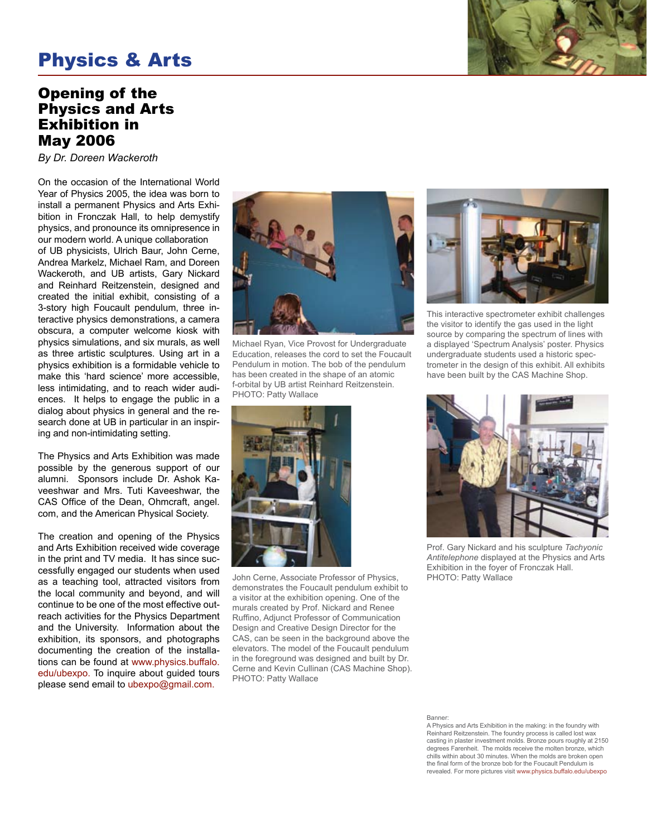## Physics & Arts

#### Opening of the Physics and Arts Exhibition in May 2006

*By Dr. Doreen Wackeroth*

On the occasion of the International World Year of Physics 2005, the idea was born to install a permanent Physics and Arts Exhibition in Fronczak Hall, to help demystify physics, and pronounce its omnipresence in our modern world. A unique collaboration

of UB physicists, Ulrich Baur, John Cerne, Andrea Markelz, Michael Ram, and Doreen Wackeroth, and UB artists, Gary Nickard and Reinhard Reitzenstein, designed and created the initial exhibit, consisting of a 3-story high Foucault pendulum, three interactive physics demonstrations, a camera obscura, a computer welcome kiosk with physics simulations, and six murals, as well as three artistic sculptures. Using art in a physics exhibition is a formidable vehicle to make this 'hard science' more accessible, less intimidating, and to reach wider audiences. It helps to engage the public in a dialog about physics in general and the research done at UB in particular in an inspiring and non-intimidating setting.

The Physics and Arts Exhibition was made possible by the generous support of our alumni. Sponsors include Dr. Ashok Kaveeshwar and Mrs. Tuti Kaveeshwar, the CAS Office of the Dean, Ohmcraft, angel. com, and the American Physical Society.

The creation and opening of the Physics and Arts Exhibition received wide coverage in the print and TV media. It has since successfully engaged our students when used as a teaching tool, attracted visitors from the local community and beyond, and will continue to be one of the most effective outreach activities for the Physics Department and the University. Information about the exhibition, its sponsors, and photographs documenting the creation of the installations can be found at www.physics.buffalo. edu/ubexpo. To inquire about guided tours please send email to ubexpo@gmail.com.



Michael Ryan, Vice Provost for Undergraduate Education, releases the cord to set the Foucault Pendulum in motion. The bob of the pendulum has been created in the shape of an atomic f-orbital by UB artist Reinhard Reitzenstein. PHOTO: Patty Wallace



John Cerne, Associate Professor of Physics, demonstrates the Foucault pendulum exhibit to a visitor at the exhibition opening. One of the murals created by Prof. Nickard and Renee Ruffino, Adjunct Professor of Communication Design and Creative Design Director for the CAS, can be seen in the background above the elevators. The model of the Foucault pendulum in the foreground was designed and built by Dr. Cerne and Kevin Cullinan (CAS Machine Shop). PHOTO: Patty Wallace



This interactive spectrometer exhibit challenges the visitor to identify the gas used in the light source by comparing the spectrum of lines with a displayed 'Spectrum Analysis' poster. Physics undergraduate students used a historic spectrometer in the design of this exhibit. All exhibits have been built by the CAS Machine Shop.



Prof. Gary Nickard and his sculpture *Tachyonic Antitelephone* displayed at the Physics and Arts Exhibition in the foyer of Fronczak Hall. PHOTO: Patty Wallace

Banner:

A Physics and Arts Exhibition in the making: in the foundry with Reinhard Reitzenstein. The foundry process is called lost wax casting in plaster investment molds. Bronze pours roughly at 2150 degrees Farenheit. The molds receive the molten bronze, which chills within about 30 minutes. When the molds are broken open the final form of the bronze bob for the Foucault Pendulum is revealed. For more pictures visit www.physics.buffalo.edu/ubexpo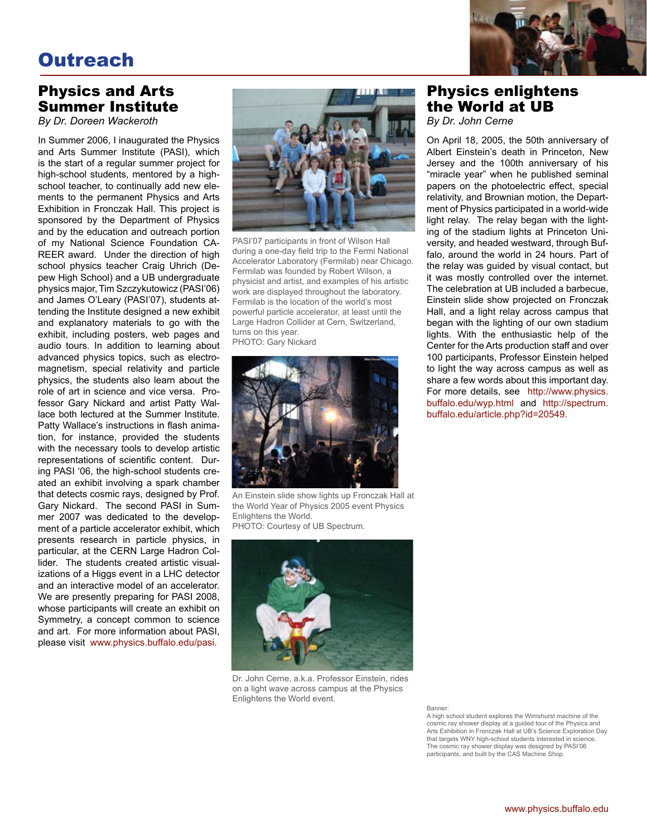# **Outreach**



## Physics and Arts Summer Institute

*By Dr. Doreen Wackeroth*

In Summer 2006, I inaugurated the Physics and Arts Summer Institute (PASI), which is the start of a regular summer project for high-school students, mentored by a highschool teacher, to continually add new elements to the permanent Physics and Arts Exhibition in Fronczak Hall. This project is sponsored by the Department of Physics and by the education and outreach portion of my National Science Foundation CA-REER award. Under the direction of high school physics teacher Craig Uhrich (Depew High School) and a UB undergraduate physics major, Tim Szczykutowicz (PASI'06) and James O'Leary (PASI'07), students attending the Institute designed a new exhibit and explanatory materials to go with the exhibit, including posters, web pages and audio tours. In addition to learning about advanced physics topics, such as electromagnetism, special relativity and particle physics, the students also learn about the role of art in science and vice versa. Professor Gary Nickard and artist Patty Wallace both lectured at the Summer Institute. Patty Wallace's instructions in flash animation, for instance, provided the students with the necessary tools to develop artistic representations of scientific content. During PASI '06, the high-school students created an exhibit involving a spark chamber that detects cosmic rays, designed by Prof. Gary Nickard. The second PASI in Summer 2007 was dedicated to the development of a particle accelerator exhibit, which presents research in particle physics, in particular, at the CERN Large Hadron Collider. The students created artistic visualizations of a Higgs event in a LHC detector and an interactive model of an accelerator. We are presently preparing for PASI 2008, whose participants will create an exhibit on Symmetry, a concept common to science and art. For more information about PASI, please visit www.physics.buffalo.edu/pasi.



PASI'07 participants in front of Wilson Hall during a one-day field trip to the Fermi National Accelerator Laboratory (Fermilab) near Chicago. Fermilab was founded by Robert Wilson, a physicist and artist, and examples of his artistic work are displayed throughout the laboratory. Fermilab is the location of the world's most powerful particle accelerator, at least until the Large Hadron Collider at Cern, Switzerland, turns on this year. PHOTO: Gary Nickard



An Einstein slide show lights up Fronczak Hall at the World Year of Physics 2005 event Physics Enlightens the World.

PHOTO: Courtesy of UB Spectrum.



Dr. John Cerne, a.k.a. Professor Einstein, rides on a light wave across campus at the Physics Enlightens the World event.

## Physics enlightens the World at UB

*By Dr. John Cerne*

On April 18, 2005, the 50th anniversary of Albert Einstein's death in Princeton, New Jersey and the 100th anniversary of his "miracle year" when he published seminal papers on the photoelectric effect, special relativity, and Brownian motion, the Department of Physics participated in a world-wide light relay. The relay began with the lighting of the stadium lights at Princeton University, and headed westward, through Buffalo, around the world in 24 hours. Part of the relay was guided by visual contact, but it was mostly controlled over the internet. The celebration at UB included a barbecue, Einstein slide show projected on Fronczak Hall, and a light relay across campus that began with the lighting of our own stadium lights. With the enthusiastic help of the Center for the Arts production staff and over 100 participants, Professor Einstein helped to light the way across campus as well as share a few words about this important day. For more details, see http://www.physics. buffalo.edu/wyp.html and http://spectrum. buffalo.edu/article.php?id=20549.

Banner:

A high school student explores the Wimshurst machine of the cosmic ray shower display at a guided tour of the Physics and Arts Exhibition in Fronczak Hall at UB's Science Exploration Day that targets WNY high-school students interested in science. The cosmic ray shower display was designed by PASI'06 participants, and built by the CAS Machine Shop.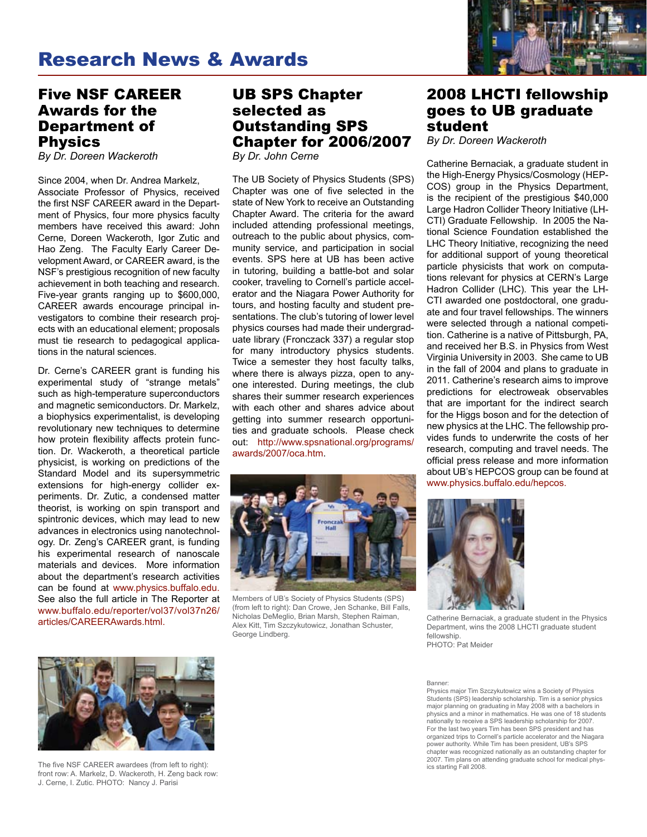### Five NSF CAREER Awards for the Department of Physics

*By Dr. Doreen Wackeroth*

Since 2004, when Dr. Andrea Markelz, Associate Professor of Physics, received the first NSF CAREER award in the Department of Physics, four more physics faculty members have received this award: John Cerne, Doreen Wackeroth, Igor Zutic and Hao Zeng. The Faculty Early Career Development Award, or CAREER award, is the NSF's prestigious recognition of new faculty achievement in both teaching and research. Five-year grants ranging up to \$600,000, CAREER awards encourage principal investigators to combine their research projects with an educational element; proposals must tie research to pedagogical applications in the natural sciences.

Dr. Cerne's CAREER grant is funding his experimental study of "strange metals" such as high-temperature superconductors and magnetic semiconductors. Dr. Markelz, a biophysics experimentalist, is developing revolutionary new techniques to determine how protein flexibility affects protein function. Dr. Wackeroth, a theoretical particle physicist, is working on predictions of the Standard Model and its supersymmetric extensions for high-energy collider experiments. Dr. Zutic, a condensed matter theorist, is working on spin transport and spintronic devices, which may lead to new advances in electronics using nanotechnology. Dr. Zeng's CAREER grant, is funding his experimental research of nanoscale materials and devices. More information about the department's research activities can be found at www.physics.buffalo.edu. See also the full article in The Reporter at www.buffalo.edu/reporter/vol37/vol37n26/ articles/CAREERAwards.html.

#### UB SPS Chapter selected as Outstanding SPS Chapter for 2006/2007 *By Dr. John Cerne*

The UB Society of Physics Students (SPS) Chapter was one of five selected in the state of New York to receive an Outstanding Chapter Award. The criteria for the award included attending professional meetings, outreach to the public about physics, community service, and participation in social events. SPS here at UB has been active in tutoring, building a battle-bot and solar cooker, traveling to Cornell's particle accelerator and the Niagara Power Authority for tours, and hosting faculty and student presentations. The club's tutoring of lower level physics courses had made their undergraduate library (Fronczack 337) a regular stop for many introductory physics students. Twice a semester they host faculty talks, where there is always pizza, open to anyone interested. During meetings, the club shares their summer research experiences with each other and shares advice about getting into summer research opportunities and graduate schools. Please check out: http://www.spsnational.org/programs/ awards/2007/oca.htm.



Members of UB's Society of Physics Students (SPS) (from left to right): Dan Crowe, Jen Schanke, Bill Falls, Nicholas DeMeglio, Brian Marsh, Stephen Raiman, Alex Kitt, Tim Szczykutowicz, Jonathan Schuster, George Lindberg.



### 2008 LHCTI fellowship goes to UB graduate student

*By Dr. Doreen Wackeroth*

Catherine Bernaciak, a graduate student in the High-Energy Physics/Cosmology (HEP-COS) group in the Physics Department, is the recipient of the prestigious \$40,000 Large Hadron Collider Theory Initiative (LH-CTI) Graduate Fellowship. In 2005 the National Science Foundation established the LHC Theory Initiative, recognizing the need for additional support of young theoretical particle physicists that work on computations relevant for physics at CERN's Large Hadron Collider (LHC). This year the LH-CTI awarded one postdoctoral, one graduate and four travel fellowships. The winners were selected through a national competition. Catherine is a native of Pittsburgh, PA, and received her B.S. in Physics from West Virginia University in 2003. She came to UB in the fall of 2004 and plans to graduate in 2011. Catherine's research aims to improve predictions for electroweak observables that are important for the indirect search for the Higgs boson and for the detection of new physics at the LHC. The fellowship provides funds to underwrite the costs of her research, computing and travel needs. The official press release and more information about UB's HEPCOS group can be found at www.physics.buffalo.edu/hepcos.



Catherine Bernaciak, a graduate student in the Physics Department, wins the 2008 LHCTI graduate student fellowship. PHOTO: Pat Meider

Banner:

Physics major Tim Szczykutowicz wins a Society of Physics Students (SPS) leadership scholarship. Tim is a senior physics major planning on graduating in May 2008 with a bachelors in physics and a minor in mathematics. He was one of 18 students nationally to receive a SPS leadership scholarship for 2007. For the last two years Tim has been SPS president and has organized trips to Cornell's particle accelerator and the Niagara power authority. While Tim has been president, UB's SPS chapter was recognized nationally as an outstanding chapter for 2007. Tim plans on attending graduate school for medical physics starting Fall 2008.



The five NSF CAREER awardees (from left to right): front row: A. Markelz, D. Wackeroth, H. Zeng back row: J. Cerne, I. Zutic. PHOTO: Nancy J. Parisi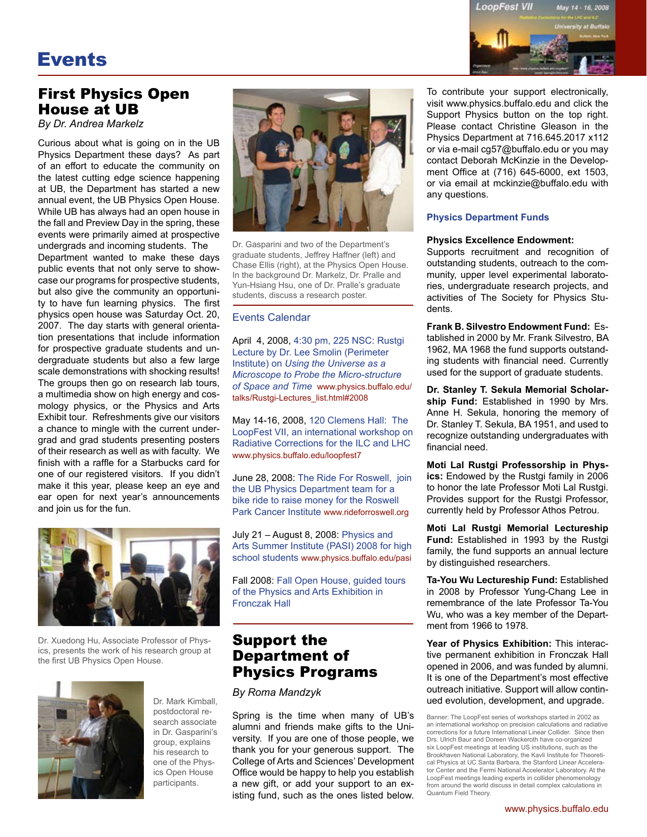# Events



### First Physics Open House at UB

*By Dr. Andrea Markelz*

Curious about what is going on in the UB Physics Department these days? As part of an effort to educate the community on the latest cutting edge science happening at UB, the Department has started a new annual event, the UB Physics Open House. While UB has always had an open house in the fall and Preview Day in the spring, these events were primarily aimed at prospective undergrads and incoming students. The

Department wanted to make these days public events that not only serve to showcase our programs for prospective students, but also give the community an opportunity to have fun learning physics. The first physics open house was Saturday Oct. 20, 2007. The day starts with general orientation presentations that include information for prospective graduate students and undergraduate students but also a few large scale demonstrations with shocking results! The groups then go on research lab tours, a multimedia show on high energy and cosmology physics, or the Physics and Arts Exhibit tour. Refreshments give our visitors a chance to mingle with the current undergrad and grad students presenting posters of their research as well as with faculty. We finish with a raffle for a Starbucks card for one of our registered visitors. If you didn't make it this year, please keep an eye and ear open for next year's announcements and join us for the fun.



Dr. Xuedong Hu, Associate Professor of Physics, presents the work of his research group at the first UB Physics Open House.



Dr. Mark Kimball, postdoctoral research associate in Dr. Gasparini's group, explains his research to one of the Physics Open House participants.



Dr. Gasparini and two of the Department's graduate students, Jeffrey Haffner (left) and Chase Ellis (right), at the Physics Open House. In the background Dr. Markelz, Dr. Pralle and Yun-Hsiang Hsu, one of Dr. Pralle's graduate students, discuss a research poster.

#### Events Calendar

April 4, 2008, 4:30 pm, 225 NSC: Rustgi Lecture by Dr. Lee Smolin (Perimeter Institute) on *Using the Universe as a Microscope to Probe the Micro-structure of Space and Time* www.physics.buffalo.edu/ talks/Rustgi-Lectures\_list.html#2008

May 14-16, 2008, 120 Clemens Hall: The LoopFest VII, an international workshop on Radiative Corrections for the ILC and LHC www.physics.buffalo.edu/loopfest7

June 28, 2008: The Ride For Roswell, join the UB Physics Department team for a bike ride to raise money for the Roswell Park Cancer Institute www.rideforroswell.org

July 21 – August 8, 2008: Physics and Arts Summer Institute (PASI) 2008 for high school students www.physics.buffalo.edu/pasi

Fall 2008: Fall Open House, guided tours of the Physics and Arts Exhibition in Fronczak Hall

#### Support the Department of Physics Programs

#### *By Roma Mandzyk*

Spring is the time when many of UB's alumni and friends make gifts to the University. If you are one of those people, we thank you for your generous support. The College of Arts and Sciences' Development Office would be happy to help you establish a new gift, or add your support to an existing fund, such as the ones listed below. To contribute your support electronically, visit www.physics.buffalo.edu and click the Support Physics button on the top right. Please contact Christine Gleason in the Physics Department at 716.645.2017 x112 or via e-mail cg57@buffalo.edu or you may contact Deborah McKinzie in the Development Office at (716) 645-6000, ext 1503, or via email at mckinzie@buffalo.edu with any questions.

#### **Physics Department Funds**

#### **Physics Excellence Endowment:**

Supports recruitment and recognition of outstanding students, outreach to the community, upper level experimental laboratories, undergraduate research projects, and activities of The Society for Physics Students.

**Frank B. Silvestro Endowment Fund:** Established in 2000 by Mr. Frank Silvestro, BA 1962, MA 1968 the fund supports outstanding students with financial need. Currently used for the support of graduate students.

**Dr. Stanley T. Sekula Memorial Scholarship Fund:** Established in 1990 by Mrs. Anne H. Sekula, honoring the memory of Dr. Stanley T. Sekula, BA 1951, and used to recognize outstanding undergraduates with financial need.

**Moti Lal Rustgi Professorship in Physics:** Endowed by the Rustgi family in 2006 to honor the late Professor Moti Lal Rustgi. Provides support for the Rustgi Professor, currently held by Professor Athos Petrou.

**Moti Lal Rustgi Memorial Lectureship Fund:** Established in 1993 by the Rustgi family, the fund supports an annual lecture by distinguished researchers.

**Ta-You Wu Lectureship Fund:** Established in 2008 by Professor Yung-Chang Lee in remembrance of the late Professor Ta-You Wu, who was a key member of the Department from 1966 to 1978.

**Year of Physics Exhibition:** This interactive permanent exhibition in Fronczak Hall opened in 2006, and was funded by alumni. It is one of the Department's most effective outreach initiative. Support will allow continued evolution, development, and upgrade.

Banner: The LoopFest series of workshops started in 2002 as an international workshop on precision calculations and radiative corrections for a future International Linear Collider. Since then Drs. Ulrich Baur and Doreen Wackeroth have co-organized six LoopFest meetings at leading US institutions, such as the Brookhaven National Laboratory, the Kavli Institute for Theoretical Physics at UC Santa Barbara, the Stanford Linear Accelerator Center and the Fermi National Accelerator Laboratory. At the LoopFest meetings leading experts in collider phenomenology from around the world discuss in detail complex calculations in Quantum Field Theory.